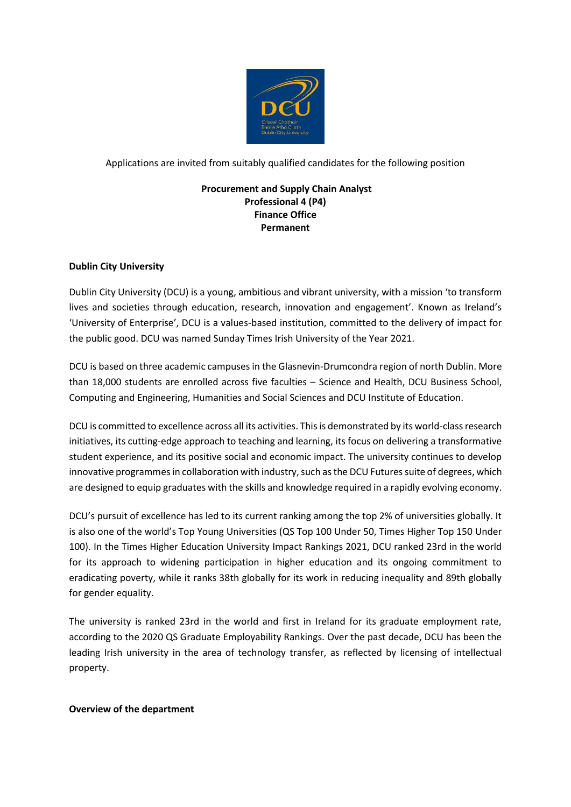

Applications are invited from suitably qualified candidates for the following position

## **Procurement and Supply Chain Analyst Professional 4 (P4) Finance Office Permanent**

# **Dublin City University**

Dublin City University (DCU) is a young, ambitious and vibrant university, with a mission 'to transform lives and societies through education, research, innovation and engagement'. Known as Ireland's 'University of Enterprise', DCU is a values-based institution, committed to the delivery of impact for the public good. DCU was named Sunday Times Irish University of the Year 2021.

DCU is based on three academic campuses in the Glasnevin-Drumcondra region of north Dublin. More than 18,000 students are enrolled across five faculties – Science and Health, DCU Business School, Computing and Engineering, Humanities and Social Sciences and DCU Institute of Education.

DCU is committed to excellence across all its activities. This is demonstrated by its world-class research initiatives, its cutting-edge approach to teaching and learning, its focus on delivering a transformative student experience, and its positive social and economic impact. The university continues to develop innovative programmes in collaboration with industry, such as the DCU Futures suite of degrees, which are designed to equip graduates with the skills and knowledge required in a rapidly evolving economy.

DCU's pursuit of excellence has led to its current ranking among the top 2% of universities globally. It is also one of the world's Top Young Universities (QS Top 100 Under 50, Times Higher Top 150 Under 100). In the Times Higher Education University Impact Rankings 2021, DCU ranked 23rd in the world for its approach to widening participation in higher education and its ongoing commitment to eradicating poverty, while it ranks 38th globally for its work in reducing inequality and 89th globally for gender equality.

The university is ranked 23rd in the world and first in Ireland for its graduate employment rate, according to the 2020 QS Graduate Employability Rankings. Over the past decade, DCU has been the leading Irish university in the area of technology transfer, as reflected by licensing of intellectual property.

## **Overview of the department**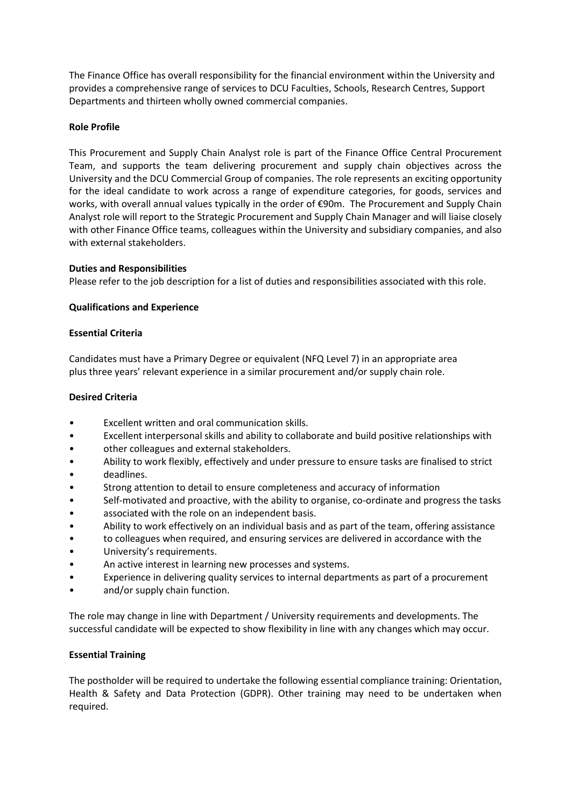The Finance Office has overall responsibility for the financial environment within the University and provides a comprehensive range of services to DCU Faculties, Schools, Research Centres, Support Departments and thirteen wholly owned commercial companies.

## **Role Profile**

This Procurement and Supply Chain Analyst role is part of the Finance Office Central Procurement Team, and supports the team delivering procurement and supply chain objectives across the University and the DCU Commercial Group of companies. The role represents an exciting opportunity for the ideal candidate to work across a range of expenditure categories, for goods, services and works, with overall annual values typically in the order of €90m. The Procurement and Supply Chain Analyst role will report to the Strategic Procurement and Supply Chain Manager and will liaise closely with other Finance Office teams, colleagues within the University and subsidiary companies, and also with external stakeholders.

## **Duties and Responsibilities**

Please refer to the job description for a list of duties and responsibilities associated with this role.

## **Qualifications and Experience**

#### **Essential Criteria**

Candidates must have a Primary Degree or equivalent (NFQ Level 7) in an appropriate area plus three years' relevant experience in a similar procurement and/or supply chain role.

## **Desired Criteria**

- Excellent written and oral communication skills.
- Excellent interpersonal skills and ability to collaborate and build positive relationships with
- other colleagues and external stakeholders.
- Ability to work flexibly, effectively and under pressure to ensure tasks are finalised to strict
- deadlines.
- Strong attention to detail to ensure completeness and accuracy of information
- Self-motivated and proactive, with the ability to organise, co-ordinate and progress the tasks
- associated with the role on an independent basis.
- Ability to work effectively on an individual basis and as part of the team, offering assistance
- to colleagues when required, and ensuring services are delivered in accordance with the
- University's requirements.
- An active interest in learning new processes and systems.
- Experience in delivering quality services to internal departments as part of a procurement
- and/or supply chain function.

The role may change in line with Department / University requirements and developments. The successful candidate will be expected to show flexibility in line with any changes which may occur.

#### **Essential Training**

The postholder will be required to undertake the following essential compliance training: Orientation, Health & Safety and Data Protection (GDPR). Other training may need to be undertaken when required.